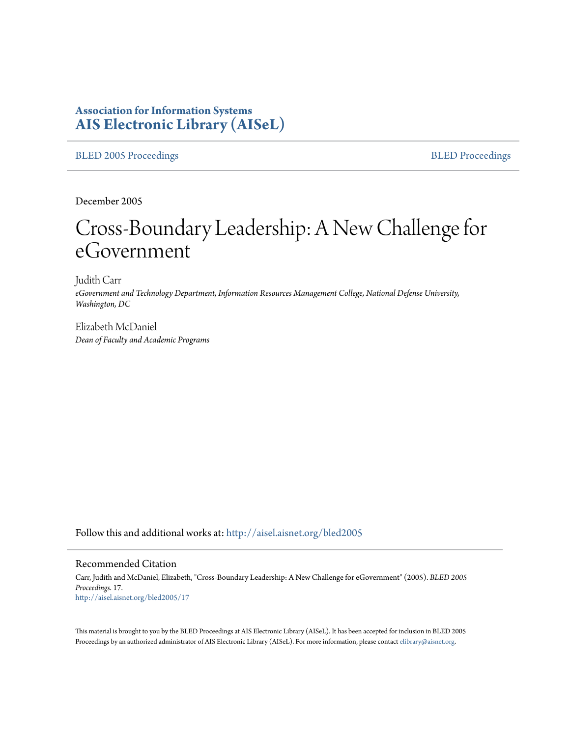# **Association for Information Systems [AIS Electronic Library \(AISeL\)](http://aisel.aisnet.org?utm_source=aisel.aisnet.org%2Fbled2005%2F17&utm_medium=PDF&utm_campaign=PDFCoverPages)**

#### [BLED 2005 Proceedings](http://aisel.aisnet.org/bled2005?utm_source=aisel.aisnet.org%2Fbled2005%2F17&utm_medium=PDF&utm_campaign=PDFCoverPages) and the state of the state of the [BLED Proceedings](http://aisel.aisnet.org/bled?utm_source=aisel.aisnet.org%2Fbled2005%2F17&utm_medium=PDF&utm_campaign=PDFCoverPages) and the BLED Proceedings and the BLED Proceedings and the BLED Proceedings and the BLED Proceedings and the BLED Proceedings and the BLED Proceedings

December 2005

# Cross-Boundary Leadership: A New Challenge for eGovernment

Judith Carr *eGovernment and Technology Department, Information Resources Management College, National Defense University, Washington, DC*

Elizabeth McDaniel *Dean of Faculty and Academic Programs*

Follow this and additional works at: [http://aisel.aisnet.org/bled2005](http://aisel.aisnet.org/bled2005?utm_source=aisel.aisnet.org%2Fbled2005%2F17&utm_medium=PDF&utm_campaign=PDFCoverPages)

#### Recommended Citation

Carr, Judith and McDaniel, Elizabeth, "Cross-Boundary Leadership: A New Challenge for eGovernment" (2005). *BLED 2005 Proceedings*. 17. [http://aisel.aisnet.org/bled2005/17](http://aisel.aisnet.org/bled2005/17?utm_source=aisel.aisnet.org%2Fbled2005%2F17&utm_medium=PDF&utm_campaign=PDFCoverPages)

This material is brought to you by the BLED Proceedings at AIS Electronic Library (AISeL). It has been accepted for inclusion in BLED 2005 Proceedings by an authorized administrator of AIS Electronic Library (AISeL). For more information, please contact [elibrary@aisnet.org](mailto:elibrary@aisnet.org%3E).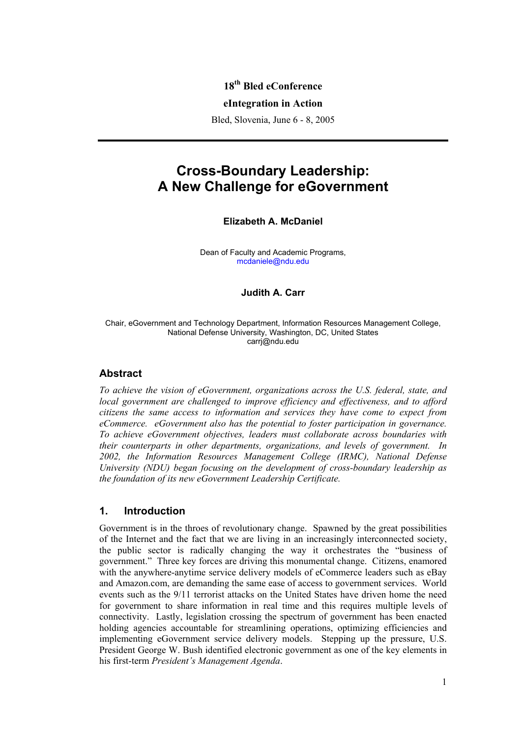# **18th Bled eConference**

#### **eIntegration in Action**

Bled, Slovenia, June 6 - 8, 2005

# **Cross-Boundary Leadership: A New Challenge for eGovernment**

#### **Elizabeth A. McDaniel**

Dean of Faculty and Academic Programs, mcdaniele@ndu.edu

#### **Judith A. Carr**

#### Chair, eGovernment and Technology Department, Information Resources Management College, National Defense University, Washington, DC, United States carrj@ndu.edu

#### **Abstract**

*To achieve the vision of eGovernment, organizations across the U.S. federal, state, and local government are challenged to improve efficiency and effectiveness, and to afford citizens the same access to information and services they have come to expect from eCommerce. eGovernment also has the potential to foster participation in governance. To achieve eGovernment objectives, leaders must collaborate across boundaries with their counterparts in other departments, organizations, and levels of government. In 2002, the Information Resources Management College (IRMC), National Defense University (NDU) began focusing on the development of cross-boundary leadership as the foundation of its new eGovernment Leadership Certificate.* 

### **1. Introduction**

Government is in the throes of revolutionary change. Spawned by the great possibilities of the Internet and the fact that we are living in an increasingly interconnected society, the public sector is radically changing the way it orchestrates the "business of government." Three key forces are driving this monumental change. Citizens, enamored with the anywhere-anytime service delivery models of eCommerce leaders such as eBay and Amazon.com, are demanding the same ease of access to government services. World events such as the 9/11 terrorist attacks on the United States have driven home the need for government to share information in real time and this requires multiple levels of connectivity. Lastly, legislation crossing the spectrum of government has been enacted holding agencies accountable for streamlining operations, optimizing efficiencies and implementing eGovernment service delivery models. Stepping up the pressure, U.S. President George W. Bush identified electronic government as one of the key elements in his first-term *President's Management Agenda*.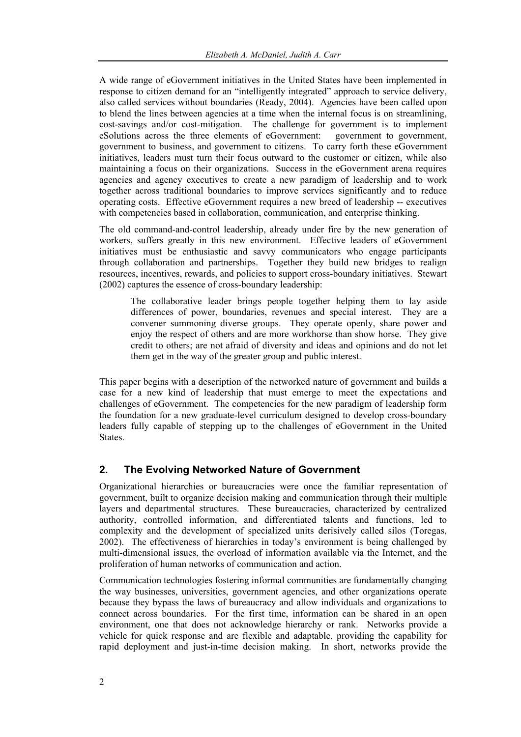A wide range of eGovernment initiatives in the United States have been implemented in response to citizen demand for an "intelligently integrated" approach to service delivery, also called services without boundaries (Ready, 2004). Agencies have been called upon to blend the lines between agencies at a time when the internal focus is on streamlining, cost-savings and/or cost-mitigation. The challenge for government is to implement eSolutions across the three elements of eGovernment: government to government, government to business, and government to citizens. To carry forth these eGovernment initiatives, leaders must turn their focus outward to the customer or citizen, while also maintaining a focus on their organizations. Success in the eGovernment arena requires agencies and agency executives to create a new paradigm of leadership and to work together across traditional boundaries to improve services significantly and to reduce operating costs. Effective eGovernment requires a new breed of leadership -- executives with competencies based in collaboration, communication, and enterprise thinking.

The old command-and-control leadership, already under fire by the new generation of workers, suffers greatly in this new environment. Effective leaders of eGovernment initiatives must be enthusiastic and savvy communicators who engage participants through collaboration and partnerships. Together they build new bridges to realign resources, incentives, rewards, and policies to support cross-boundary initiatives. Stewart (2002) captures the essence of cross-boundary leadership:

The collaborative leader brings people together helping them to lay aside differences of power, boundaries, revenues and special interest. They are a convener summoning diverse groups. They operate openly, share power and enjoy the respect of others and are more workhorse than show horse. They give credit to others; are not afraid of diversity and ideas and opinions and do not let them get in the way of the greater group and public interest.

This paper begins with a description of the networked nature of government and builds a case for a new kind of leadership that must emerge to meet the expectations and challenges of eGovernment. The competencies for the new paradigm of leadership form the foundation for a new graduate-level curriculum designed to develop cross-boundary leaders fully capable of stepping up to the challenges of eGovernment in the United States.

# **2. The Evolving Networked Nature of Government**

Organizational hierarchies or bureaucracies were once the familiar representation of government, built to organize decision making and communication through their multiple layers and departmental structures. These bureaucracies, characterized by centralized authority, controlled information, and differentiated talents and functions, led to complexity and the development of specialized units derisively called silos (Toregas, 2002). The effectiveness of hierarchies in today's environment is being challenged by multi-dimensional issues, the overload of information available via the Internet, and the proliferation of human networks of communication and action.

Communication technologies fostering informal communities are fundamentally changing the way businesses, universities, government agencies, and other organizations operate because they bypass the laws of bureaucracy and allow individuals and organizations to connect across boundaries. For the first time, information can be shared in an open environment, one that does not acknowledge hierarchy or rank. Networks provide a vehicle for quick response and are flexible and adaptable, providing the capability for rapid deployment and just-in-time decision making. In short, networks provide the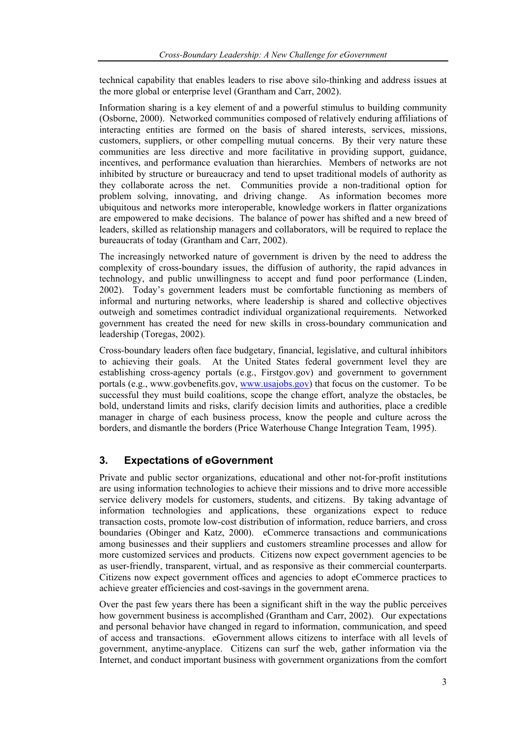technical capability that enables leaders to rise above silo-thinking and address issues at the more global or enterprise level (Grantham and Carr, 2002).

Information sharing is a key element of and a powerful stimulus to building community (Osborne, 2000). Networked communities composed of relatively enduring affiliations of interacting entities are formed on the basis of shared interests, services, missions, customers, suppliers, or other compelling mutual concerns. By their very nature these communities are less directive and more facilitative in providing support, guidance, incentives, and performance evaluation than hierarchies. Members of networks are not inhibited by structure or bureaucracy and tend to upset traditional models of authority as they collaborate across the net. Communities provide a non-traditional option for problem solving, innovating, and driving change. As information becomes more ubiquitous and networks more interoperable, knowledge workers in flatter organizations are empowered to make decisions. The balance of power has shifted and a new breed of leaders, skilled as relationship managers and collaborators, will be required to replace the bureaucrats of today (Grantham and Carr, 2002).

The increasingly networked nature of government is driven by the need to address the complexity of cross-boundary issues, the diffusion of authority, the rapid advances in technology, and public unwillingness to accept and fund poor performance (Linden, 2002). Today's government leaders must be comfortable functioning as members of informal and nurturing networks, where leadership is shared and collective objectives outweigh and sometimes contradict individual organizational requirements. Networked government has created the need for new skills in cross-boundary communication and leadership (Toregas, 2002).

Cross-boundary leaders often face budgetary, financial, legislative, and cultural inhibitors to achieving their goals. At the United States federal government level they are establishing cross-agency portals (e.g., Firstgov.gov) and government to government portals (e.g., www.govbenefits.gov, www.usajobs.gov) that focus on the customer. To be successful they must build coalitions, scope the change effort, analyze the obstacles, be bold, understand limits and risks, clarify decision limits and authorities, place a credible manager in charge of each business process, know the people and culture across the borders, and dismantle the borders (Price Waterhouse Change Integration Team, 1995).

# **3. Expectations of eGovernment**

Private and public sector organizations, educational and other not-for-profit institutions are using information technologies to achieve their missions and to drive more accessible service delivery models for customers, students, and citizens. By taking advantage of information technologies and applications, these organizations expect to reduce transaction costs, promote low-cost distribution of information, reduce barriers, and cross boundaries (Obinger and Katz, 2000). eCommerce transactions and communications among businesses and their suppliers and customers streamline processes and allow for more customized services and products. Citizens now expect government agencies to be as user-friendly, transparent, virtual, and as responsive as their commercial counterparts. Citizens now expect government offices and agencies to adopt eCommerce practices to achieve greater efficiencies and cost-savings in the government arena.

Over the past few years there has been a significant shift in the way the public perceives how government business is accomplished (Grantham and Carr, 2002). Our expectations and personal behavior have changed in regard to information, communication, and speed of access and transactions. eGovernment allows citizens to interface with all levels of government, anytime-anyplace. Citizens can surf the web, gather information via the Internet, and conduct important business with government organizations from the comfort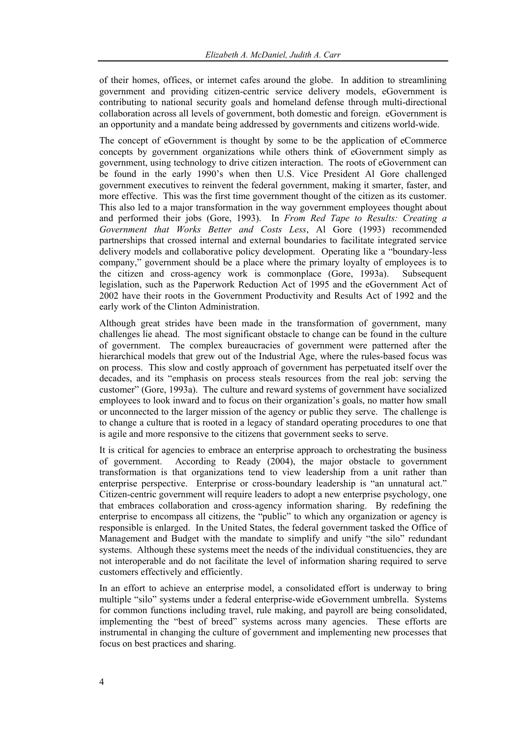of their homes, offices, or internet cafes around the globe. In addition to streamlining government and providing citizen-centric service delivery models, eGovernment is contributing to national security goals and homeland defense through multi-directional collaboration across all levels of government, both domestic and foreign. eGovernment is an opportunity and a mandate being addressed by governments and citizens world-wide.

The concept of eGovernment is thought by some to be the application of eCommerce concepts by government organizations while others think of eGovernment simply as government, using technology to drive citizen interaction. The roots of eGovernment can be found in the early 1990's when then U.S. Vice President Al Gore challenged government executives to reinvent the federal government, making it smarter, faster, and more effective. This was the first time government thought of the citizen as its customer. This also led to a major transformation in the way government employees thought about and performed their jobs (Gore, 1993). In *From Red Tape to Results: Creating a Government that Works Better and Costs Less*, Al Gore (1993) recommended partnerships that crossed internal and external boundaries to facilitate integrated service delivery models and collaborative policy development. Operating like a "boundary-less company," government should be a place where the primary loyalty of employees is to the citizen and cross-agency work is commonplace (Gore, 1993a). Subsequent legislation, such as the Paperwork Reduction Act of 1995 and the eGovernment Act of 2002 have their roots in the Government Productivity and Results Act of 1992 and the early work of the Clinton Administration.

Although great strides have been made in the transformation of government, many challenges lie ahead. The most significant obstacle to change can be found in the culture of government. The complex bureaucracies of government were patterned after the hierarchical models that grew out of the Industrial Age, where the rules-based focus was on process. This slow and costly approach of government has perpetuated itself over the decades, and its "emphasis on process steals resources from the real job: serving the customer" (Gore, 1993a). The culture and reward systems of government have socialized employees to look inward and to focus on their organization's goals, no matter how small or unconnected to the larger mission of the agency or public they serve. The challenge is to change a culture that is rooted in a legacy of standard operating procedures to one that is agile and more responsive to the citizens that government seeks to serve.

It is critical for agencies to embrace an enterprise approach to orchestrating the business of government. According to Ready (2004), the major obstacle to government transformation is that organizations tend to view leadership from a unit rather than enterprise perspective. Enterprise or cross-boundary leadership is "an unnatural act." Citizen-centric government will require leaders to adopt a new enterprise psychology, one that embraces collaboration and cross-agency information sharing. By redefining the enterprise to encompass all citizens, the "public" to which any organization or agency is responsible is enlarged. In the United States, the federal government tasked the Office of Management and Budget with the mandate to simplify and unify "the silo" redundant systems. Although these systems meet the needs of the individual constituencies, they are not interoperable and do not facilitate the level of information sharing required to serve customers effectively and efficiently.

In an effort to achieve an enterprise model, a consolidated effort is underway to bring multiple "silo" systems under a federal enterprise-wide eGovernment umbrella. Systems for common functions including travel, rule making, and payroll are being consolidated, implementing the "best of breed" systems across many agencies. These efforts are instrumental in changing the culture of government and implementing new processes that focus on best practices and sharing.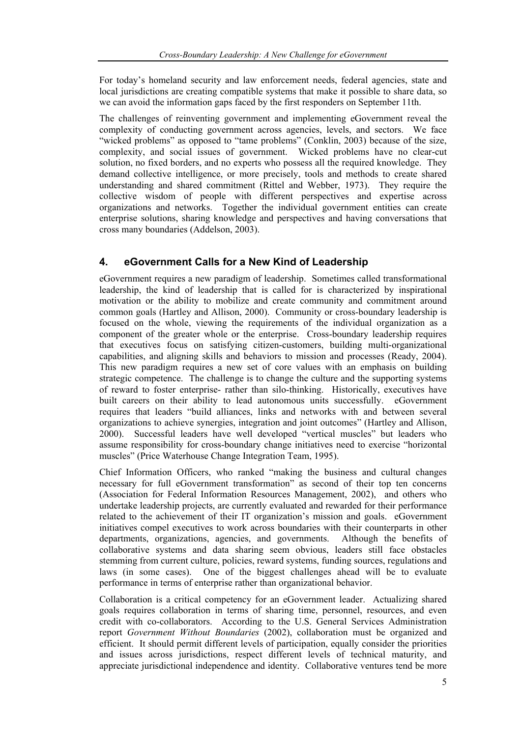For today's homeland security and law enforcement needs, federal agencies, state and local jurisdictions are creating compatible systems that make it possible to share data, so we can avoid the information gaps faced by the first responders on September 11th.

The challenges of reinventing government and implementing eGovernment reveal the complexity of conducting government across agencies, levels, and sectors. We face "wicked problems" as opposed to "tame problems" (Conklin, 2003) because of the size, complexity, and social issues of government. Wicked problems have no clear-cut solution, no fixed borders, and no experts who possess all the required knowledge. They demand collective intelligence, or more precisely, tools and methods to create shared understanding and shared commitment (Rittel and Webber, 1973). They require the collective wisdom of people with different perspectives and expertise across organizations and networks. Together the individual government entities can create enterprise solutions, sharing knowledge and perspectives and having conversations that cross many boundaries (Addelson, 2003).

# **4. eGovernment Calls for a New Kind of Leadership**

eGovernment requires a new paradigm of leadership. Sometimes called transformational leadership, the kind of leadership that is called for is characterized by inspirational motivation or the ability to mobilize and create community and commitment around common goals (Hartley and Allison, 2000). Community or cross-boundary leadership is focused on the whole, viewing the requirements of the individual organization as a component of the greater whole or the enterprise. Cross-boundary leadership requires that executives focus on satisfying citizen-customers, building multi-organizational capabilities, and aligning skills and behaviors to mission and processes (Ready, 2004). This new paradigm requires a new set of core values with an emphasis on building strategic competence. The challenge is to change the culture and the supporting systems of reward to foster enterprise- rather than silo-thinking. Historically, executives have built careers on their ability to lead autonomous units successfully. eGovernment requires that leaders "build alliances, links and networks with and between several organizations to achieve synergies, integration and joint outcomes" (Hartley and Allison, 2000). Successful leaders have well developed "vertical muscles" but leaders who assume responsibility for cross-boundary change initiatives need to exercise "horizontal muscles" (Price Waterhouse Change Integration Team, 1995).

Chief Information Officers, who ranked "making the business and cultural changes necessary for full eGovernment transformation" as second of their top ten concerns (Association for Federal Information Resources Management, 2002), and others who undertake leadership projects, are currently evaluated and rewarded for their performance related to the achievement of their IT organization's mission and goals. eGovernment initiatives compel executives to work across boundaries with their counterparts in other departments, organizations, agencies, and governments. Although the benefits of collaborative systems and data sharing seem obvious, leaders still face obstacles stemming from current culture, policies, reward systems, funding sources, regulations and laws (in some cases). One of the biggest challenges ahead will be to evaluate performance in terms of enterprise rather than organizational behavior.

Collaboration is a critical competency for an eGovernment leader. Actualizing shared goals requires collaboration in terms of sharing time, personnel, resources, and even credit with co-collaborators. According to the U.S. General Services Administration report *Government Without Boundaries* (2002), collaboration must be organized and efficient. It should permit different levels of participation, equally consider the priorities and issues across jurisdictions, respect different levels of technical maturity, and appreciate jurisdictional independence and identity. Collaborative ventures tend be more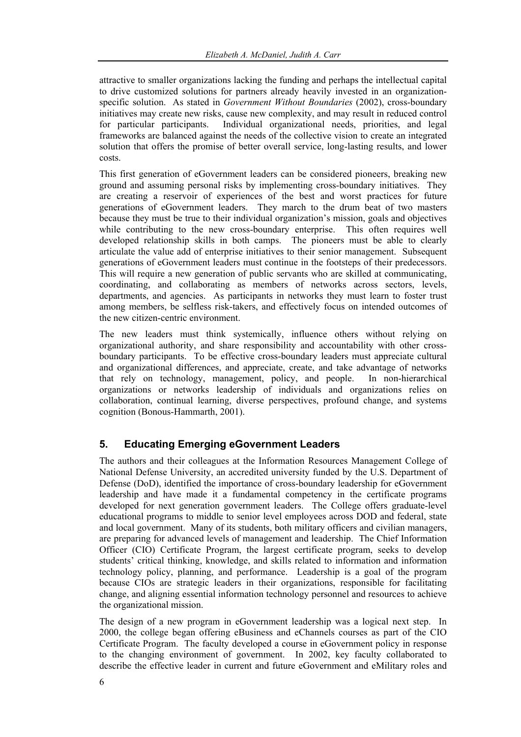attractive to smaller organizations lacking the funding and perhaps the intellectual capital to drive customized solutions for partners already heavily invested in an organizationspecific solution. As stated in *Government Without Boundaries* (2002), cross-boundary initiatives may create new risks, cause new complexity, and may result in reduced control for particular participants. Individual organizational needs, priorities, and legal frameworks are balanced against the needs of the collective vision to create an integrated solution that offers the promise of better overall service, long-lasting results, and lower costs.

This first generation of eGovernment leaders can be considered pioneers, breaking new ground and assuming personal risks by implementing cross-boundary initiatives. They are creating a reservoir of experiences of the best and worst practices for future generations of eGovernment leaders. They march to the drum beat of two masters because they must be true to their individual organization's mission, goals and objectives while contributing to the new cross-boundary enterprise. This often requires well developed relationship skills in both camps. The pioneers must be able to clearly articulate the value add of enterprise initiatives to their senior management. Subsequent generations of eGovernment leaders must continue in the footsteps of their predecessors. This will require a new generation of public servants who are skilled at communicating, coordinating, and collaborating as members of networks across sectors, levels, departments, and agencies. As participants in networks they must learn to foster trust among members, be selfless risk-takers, and effectively focus on intended outcomes of the new citizen-centric environment.

The new leaders must think systemically, influence others without relying on organizational authority, and share responsibility and accountability with other crossboundary participants. To be effective cross-boundary leaders must appreciate cultural and organizational differences, and appreciate, create, and take advantage of networks that rely on technology, management, policy, and people. In non-hierarchical organizations or networks leadership of individuals and organizations relies on collaboration, continual learning, diverse perspectives, profound change, and systems cognition (Bonous-Hammarth, 2001).

# **5. Educating Emerging eGovernment Leaders**

The authors and their colleagues at the Information Resources Management College of National Defense University, an accredited university funded by the U.S. Department of Defense (DoD), identified the importance of cross-boundary leadership for eGovernment leadership and have made it a fundamental competency in the certificate programs developed for next generation government leaders. The College offers graduate-level educational programs to middle to senior level employees across DOD and federal, state and local government. Many of its students, both military officers and civilian managers, are preparing for advanced levels of management and leadership. The Chief Information Officer (CIO) Certificate Program, the largest certificate program, seeks to develop students' critical thinking, knowledge, and skills related to information and information technology policy, planning, and performance. Leadership is a goal of the program because CIOs are strategic leaders in their organizations, responsible for facilitating change, and aligning essential information technology personnel and resources to achieve the organizational mission.

The design of a new program in eGovernment leadership was a logical next step. In 2000, the college began offering eBusiness and eChannels courses as part of the CIO Certificate Program. The faculty developed a course in eGovernment policy in response to the changing environment of government. In 2002, key faculty collaborated to describe the effective leader in current and future eGovernment and eMilitary roles and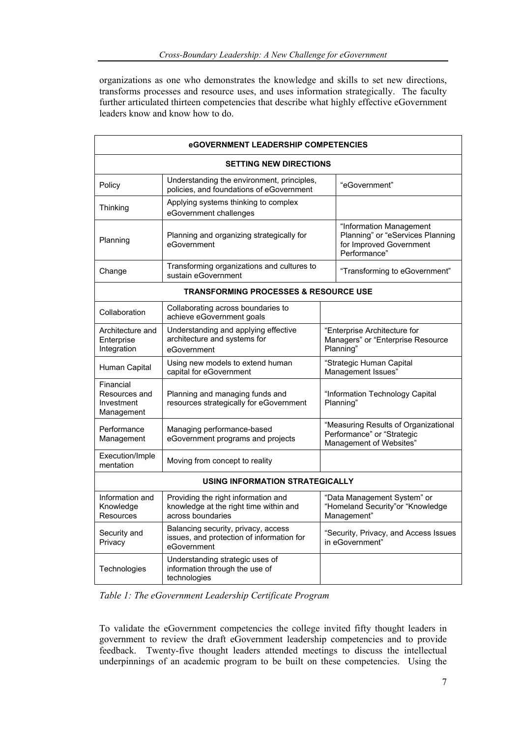organizations as one who demonstrates the knowledge and skills to set new directions, transforms processes and resource uses, and uses information strategically. The faculty further articulated thirteen competencies that describe what highly effective eGovernment leaders know and know how to do.

| eGOVERNMENT LEADERSHIP COMPETENCIES                    |                                                                                                    |                                                                                               |                                                                                                        |
|--------------------------------------------------------|----------------------------------------------------------------------------------------------------|-----------------------------------------------------------------------------------------------|--------------------------------------------------------------------------------------------------------|
| <b>SETTING NEW DIRECTIONS</b>                          |                                                                                                    |                                                                                               |                                                                                                        |
| Policy                                                 | Understanding the environment, principles,<br>policies, and foundations of eGovernment             |                                                                                               | "eGovernment"                                                                                          |
| Thinking                                               | Applying systems thinking to complex<br>eGovernment challenges                                     |                                                                                               |                                                                                                        |
| Planning                                               | Planning and organizing strategically for<br>eGovernment                                           |                                                                                               | "Information Management<br>Planning" or "eServices Planning<br>for Improved Government<br>Performance" |
| Change                                                 | Transforming organizations and cultures to<br>sustain eGovernment                                  |                                                                                               | "Transforming to eGovernment"                                                                          |
| <b>TRANSFORMING PROCESSES &amp; RESOURCE USE</b>       |                                                                                                    |                                                                                               |                                                                                                        |
| Collaboration                                          | Collaborating across boundaries to<br>achieve eGovernment goals                                    |                                                                                               |                                                                                                        |
| Architecture and<br>Enterprise<br>Integration          | Understanding and applying effective<br>architecture and systems for<br>eGovernment                | "Enterprise Architecture for<br>Managers" or "Enterprise Resource<br>Planning"                |                                                                                                        |
| Human Capital                                          | Using new models to extend human<br>capital for eGovernment                                        | "Strategic Human Capital<br>Management Issues'                                                |                                                                                                        |
| Financial<br>Resources and<br>Investment<br>Management | Planning and managing funds and<br>resources strategically for eGovernment                         | "Information Technology Capital<br>Planning"                                                  |                                                                                                        |
| Performance<br>Management                              | Managing performance-based<br>eGovernment programs and projects                                    | "Measuring Results of Organizational<br>Performance" or "Strategic<br>Management of Websites" |                                                                                                        |
| Execution/Imple<br>mentation                           | Moving from concept to reality                                                                     |                                                                                               |                                                                                                        |
| <b>USING INFORMATION STRATEGICALLY</b>                 |                                                                                                    |                                                                                               |                                                                                                        |
| Information and<br>Knowledge<br>Resources              | Providing the right information and<br>knowledge at the right time within and<br>across boundaries | "Data Management System" or<br>"Homeland Security" or "Knowledge<br>Management"               |                                                                                                        |
| Security and<br>Privacy                                | Balancing security, privacy, access<br>issues, and protection of information for<br>eGovernment    | "Security, Privacy, and Access Issues<br>in eGovernment"                                      |                                                                                                        |
| Technologies                                           | Understanding strategic uses of<br>information through the use of<br>technologies                  |                                                                                               |                                                                                                        |

*Table 1: The eGovernment Leadership Certificate Program* 

To validate the eGovernment competencies the college invited fifty thought leaders in government to review the draft eGovernment leadership competencies and to provide feedback. Twenty-five thought leaders attended meetings to discuss the intellectual underpinnings of an academic program to be built on these competencies. Using the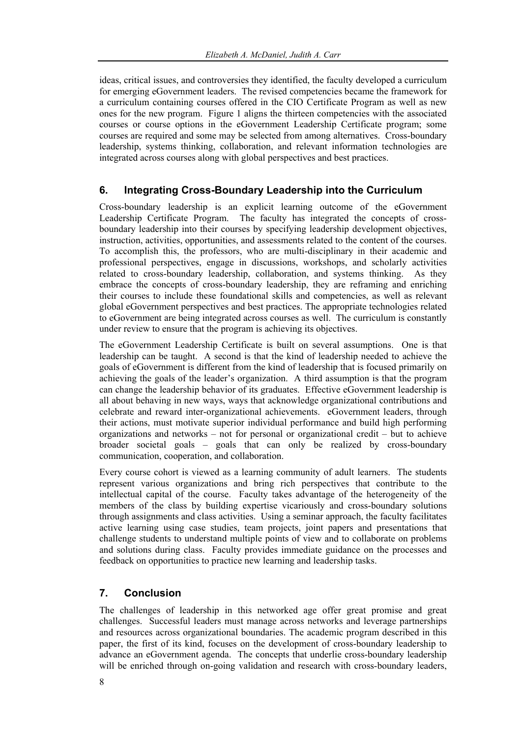ideas, critical issues, and controversies they identified, the faculty developed a curriculum for emerging eGovernment leaders. The revised competencies became the framework for a curriculum containing courses offered in the CIO Certificate Program as well as new ones for the new program. Figure 1 aligns the thirteen competencies with the associated courses or course options in the eGovernment Leadership Certificate program; some courses are required and some may be selected from among alternatives. Cross-boundary leadership, systems thinking, collaboration, and relevant information technologies are integrated across courses along with global perspectives and best practices.

## **6. Integrating Cross-Boundary Leadership into the Curriculum**

Cross-boundary leadership is an explicit learning outcome of the eGovernment Leadership Certificate Program. The faculty has integrated the concepts of crossboundary leadership into their courses by specifying leadership development objectives, instruction, activities, opportunities, and assessments related to the content of the courses. To accomplish this, the professors, who are multi-disciplinary in their academic and professional perspectives, engage in discussions, workshops, and scholarly activities related to cross-boundary leadership, collaboration, and systems thinking. As they embrace the concepts of cross-boundary leadership, they are reframing and enriching their courses to include these foundational skills and competencies, as well as relevant global eGovernment perspectives and best practices. The appropriate technologies related to eGovernment are being integrated across courses as well. The curriculum is constantly under review to ensure that the program is achieving its objectives.

The eGovernment Leadership Certificate is built on several assumptions. One is that leadership can be taught. A second is that the kind of leadership needed to achieve the goals of eGovernment is different from the kind of leadership that is focused primarily on achieving the goals of the leader's organization. A third assumption is that the program can change the leadership behavior of its graduates. Effective eGovernment leadership is all about behaving in new ways, ways that acknowledge organizational contributions and celebrate and reward inter-organizational achievements. eGovernment leaders, through their actions, must motivate superior individual performance and build high performing organizations and networks – not for personal or organizational credit – but to achieve broader societal goals – goals that can only be realized by cross-boundary communication, cooperation, and collaboration.

Every course cohort is viewed as a learning community of adult learners. The students represent various organizations and bring rich perspectives that contribute to the intellectual capital of the course. Faculty takes advantage of the heterogeneity of the members of the class by building expertise vicariously and cross-boundary solutions through assignments and class activities. Using a seminar approach, the faculty facilitates active learning using case studies, team projects, joint papers and presentations that challenge students to understand multiple points of view and to collaborate on problems and solutions during class. Faculty provides immediate guidance on the processes and feedback on opportunities to practice new learning and leadership tasks.

# **7. Conclusion**

The challenges of leadership in this networked age offer great promise and great challenges. Successful leaders must manage across networks and leverage partnerships and resources across organizational boundaries. The academic program described in this paper, the first of its kind, focuses on the development of cross-boundary leadership to advance an eGovernment agenda. The concepts that underlie cross-boundary leadership will be enriched through on-going validation and research with cross-boundary leaders,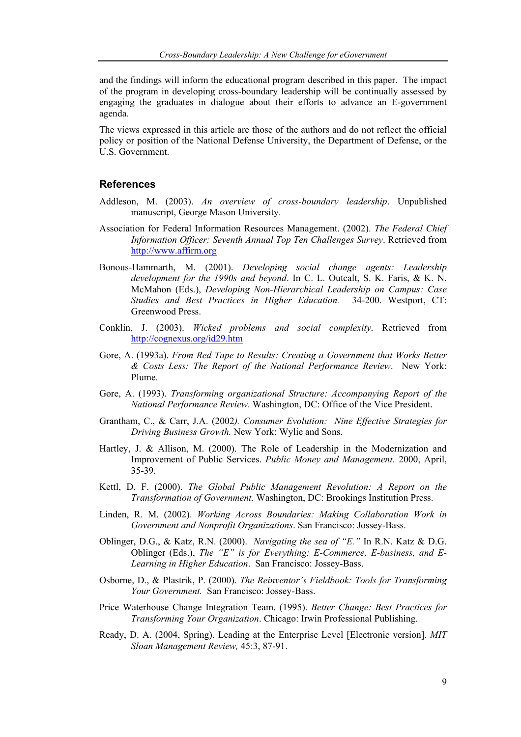and the findings will inform the educational program described in this paper. The impact of the program in developing cross-boundary leadership will be continually assessed by engaging the graduates in dialogue about their efforts to advance an E-government agenda.

The views expressed in this article are those of the authors and do not reflect the official policy or position of the National Defense University, the Department of Defense, or the U.S. Government.

#### **References**

- Addleson, M. (2003). *An overview of cross-boundary leadership*. Unpublished manuscript, George Mason University.
- Association for Federal Information Resources Management. (2002). *The Federal Chief Information Officer: Seventh Annual Top Ten Challenges Survey*. Retrieved from http://www.affirm.org
- Bonous-Hammarth, M. (2001). *Developing social change agents: Leadership development for the 1990s and beyond*. In C. L. Outcalt, S. K. Faris, & K. N. McMahon (Eds.), *Developing Non-Hierarchical Leadership on Campus: Case Studies and Best Practices in Higher Education.* 34-200. Westport, CT: Greenwood Press.
- Conklin, J. (2003). *Wicked problems and social complexity*. Retrieved from http://cognexus.org/id29.htm
- Gore, A. (1993a). *From Red Tape to Results: Creating a Government that Works Better & Costs Less: The Report of the National Performance Review*. New York: Plume.
- Gore, A. (1993). *Transforming organizational Structure: Accompanying Report of the National Performance Review*. Washington, DC: Office of the Vice President.
- Grantham, C., & Carr, J.A. (2002*). Consumer Evolution: Nine Effective Strategies for Driving Business Growth.* New York: Wylie and Sons.
- Hartley, J. & Allison, M. (2000). The Role of Leadership in the Modernization and Improvement of Public Services. *Public Money and Management.* 2000, April, 35-39.
- Kettl, D. F. (2000). *The Global Public Management Revolution: A Report on the Transformation of Government.* Washington, DC: Brookings Institution Press.
- Linden, R. M. (2002). *Working Across Boundaries: Making Collaboration Work in Government and Nonprofit Organizations*. San Francisco: Jossey-Bass.
- Oblinger, D.G., & Katz, R.N. (2000). *Navigating the sea of "E."* In R.N. Katz & D.G. Oblinger (Eds.), *The "E" is for Everything: E-Commerce, E-business, and E-Learning in Higher Education*. San Francisco: Jossey-Bass.
- Osborne, D., & Plastrik, P. (2000). *The Reinventor's Fieldbook: Tools for Transforming Your Government.* San Francisco: Jossey-Bass.
- Price Waterhouse Change Integration Team. (1995). *Better Change: Best Practices for Transforming Your Organization*. Chicago: Irwin Professional Publishing.
- Ready, D. A. (2004, Spring). Leading at the Enterprise Level [Electronic version]. *MIT Sloan Management Review,* 45:3, 87-91.